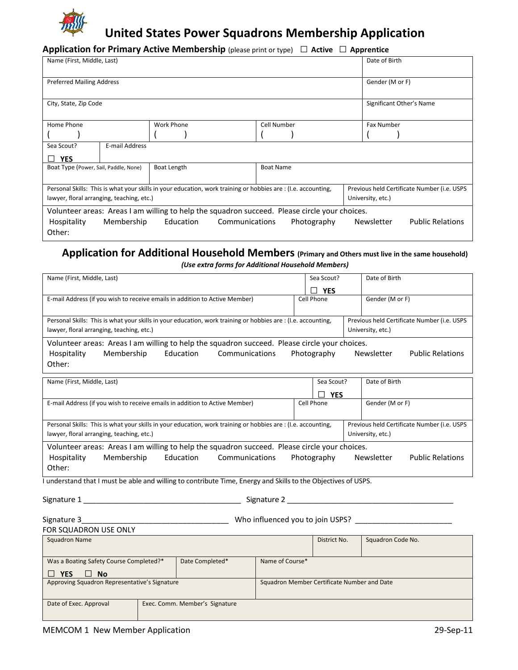

# **United States Power Squadrons Membership Application**

## **Application for Primary Active Membership** (please print or type) **□ Active □ Apprentice**

| Name (First, Middle, Last)                                                                                                                                   |                                                                                                   |  |  |           |             |  | Date of Birth            |  |                   |  |  |
|--------------------------------------------------------------------------------------------------------------------------------------------------------------|---------------------------------------------------------------------------------------------------|--|--|-----------|-------------|--|--------------------------|--|-------------------|--|--|
| <b>Preferred Mailing Address</b>                                                                                                                             |                                                                                                   |  |  |           |             |  | Gender (M or F)          |  |                   |  |  |
|                                                                                                                                                              |                                                                                                   |  |  |           |             |  |                          |  |                   |  |  |
| City, State, Zip Code                                                                                                                                        |                                                                                                   |  |  |           |             |  | Significant Other's Name |  |                   |  |  |
|                                                                                                                                                              |                                                                                                   |  |  |           |             |  |                          |  |                   |  |  |
| Home Phone                                                                                                                                                   | Work Phone                                                                                        |  |  |           | Cell Number |  |                          |  | <b>Fax Number</b> |  |  |
|                                                                                                                                                              |                                                                                                   |  |  |           |             |  |                          |  |                   |  |  |
| E-mail Address<br>Sea Scout?                                                                                                                                 |                                                                                                   |  |  |           |             |  |                          |  |                   |  |  |
| <b>YES</b>                                                                                                                                                   |                                                                                                   |  |  |           |             |  |                          |  |                   |  |  |
| Boat Length<br>Boat Type (Power, Sail, Paddle, None)                                                                                                         |                                                                                                   |  |  | Boat Name |             |  |                          |  |                   |  |  |
|                                                                                                                                                              |                                                                                                   |  |  |           |             |  |                          |  |                   |  |  |
| Personal Skills: This is what your skills in your education, work training or hobbies are : (I.e. accounting,<br>Previous held Certificate Number (i.e. USPS |                                                                                                   |  |  |           |             |  |                          |  |                   |  |  |
| lawyer, floral arranging, teaching, etc.)<br>University, etc.)                                                                                               |                                                                                                   |  |  |           |             |  |                          |  |                   |  |  |
| Volunteer areas: Areas I am willing to help the squadron succeed. Please circle your choices.                                                                |                                                                                                   |  |  |           |             |  |                          |  |                   |  |  |
| Hospitality                                                                                                                                                  | Education<br>Communications<br>Photography<br><b>Public Relations</b><br>Membership<br>Newsletter |  |  |           |             |  |                          |  |                   |  |  |
| Other:                                                                                                                                                       |                                                                                                   |  |  |           |             |  |                          |  |                   |  |  |

## **Application for Additional Household Members (Primary and Others must live in the same household)** *(Use extra forms for Additional Household Members)*

| Name (First, Middle, Last)                                                                                                                                   |                | Sea Scout?      |             |  | Date of Birth     |                         |  |  |
|--------------------------------------------------------------------------------------------------------------------------------------------------------------|----------------|-----------------|-------------|--|-------------------|-------------------------|--|--|
|                                                                                                                                                              |                |                 | <b>YES</b>  |  |                   |                         |  |  |
| E-mail Address (if you wish to receive emails in addition to Active Member)                                                                                  |                | Cell Phone      |             |  | Gender (M or F)   |                         |  |  |
| Personal Skills: This is what your skills in your education, work training or hobbies are : (I.e. accounting,<br>Previous held Certificate Number (i.e. USPS |                |                 |             |  |                   |                         |  |  |
| lawyer, floral arranging, teaching, etc.)<br>University, etc.)                                                                                               |                |                 |             |  |                   |                         |  |  |
| Volunteer areas: Areas I am willing to help the squadron succeed. Please circle your choices.                                                                |                |                 |             |  |                   |                         |  |  |
| Membership<br>Education<br>Hospitality<br>Other:                                                                                                             | Communications |                 | Photography |  | Newsletter        | <b>Public Relations</b> |  |  |
|                                                                                                                                                              |                |                 |             |  |                   |                         |  |  |
| Name (First, Middle, Last)                                                                                                                                   |                |                 | Sea Scout?  |  | Date of Birth     |                         |  |  |
|                                                                                                                                                              |                |                 | <b>YES</b>  |  |                   |                         |  |  |
| E-mail Address (if you wish to receive emails in addition to Active Member)                                                                                  |                |                 | Cell Phone  |  | Gender (M or F)   |                         |  |  |
| Previous held Certificate Number (i.e. USPS<br>Personal Skills: This is what your skills in your education, work training or hobbies are : (I.e. accounting, |                |                 |             |  |                   |                         |  |  |
| lawyer, floral arranging, teaching, etc.)<br>University, etc.)                                                                                               |                |                 |             |  |                   |                         |  |  |
| Volunteer areas: Areas I am willing to help the squadron succeed. Please circle your choices.                                                                |                |                 |             |  |                   |                         |  |  |
| Membership<br>Education<br>Communications<br>Photography<br>Hospitality<br>Newsletter<br><b>Public Relations</b>                                             |                |                 |             |  |                   |                         |  |  |
| Other:                                                                                                                                                       |                |                 |             |  |                   |                         |  |  |
|                                                                                                                                                              |                |                 |             |  |                   |                         |  |  |
| I understand that I must be able and willing to contribute Time, Energy and Skills to the Objectives of USPS.                                                |                |                 |             |  |                   |                         |  |  |
|                                                                                                                                                              |                |                 |             |  |                   |                         |  |  |
|                                                                                                                                                              |                |                 |             |  |                   |                         |  |  |
| Who influenced you to join USPS? _<br>Signature 3                                                                                                            |                |                 |             |  |                   |                         |  |  |
| FOR SQUADRON USE ONLY                                                                                                                                        |                |                 |             |  |                   |                         |  |  |
| <b>Squadron Name</b>                                                                                                                                         |                | District No.    |             |  | Squadron Code No. |                         |  |  |
| Date Completed*<br>Was a Boating Safety Course Completed?*                                                                                                   |                | Name of Course* |             |  |                   |                         |  |  |
| $\Box$ YES<br><b>No</b><br>$\perp$                                                                                                                           |                |                 |             |  |                   |                         |  |  |
| Approving Squadron Representative's Signature<br>Squadron Member Certificate Number and Date                                                                 |                |                 |             |  |                   |                         |  |  |
| Date of Exec. Approval<br>Exec. Comm. Member's Signature                                                                                                     |                |                 |             |  |                   |                         |  |  |
|                                                                                                                                                              |                |                 |             |  |                   |                         |  |  |